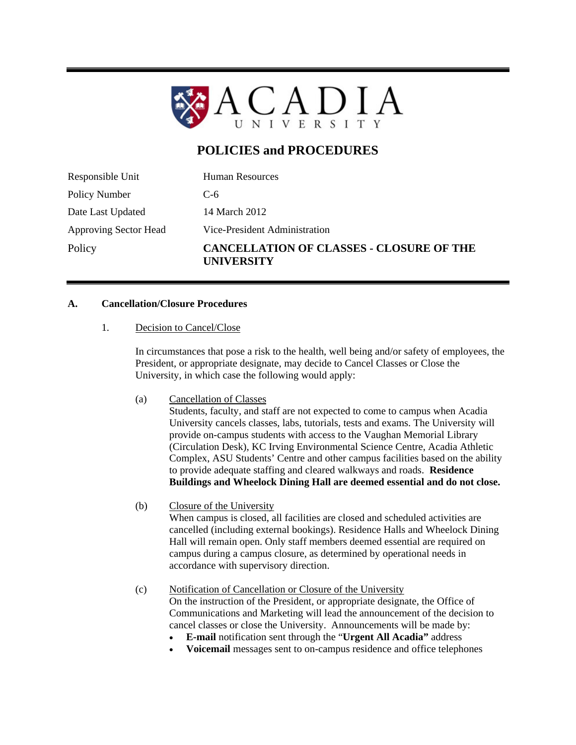

# **POLICIES and PROCEDURES**

Responsible Unit Human Resources Policy Number C-6 Date Last Updated 14 March 2012 Approving Sector Head Vice-President Administration Policy **CANCELLATION OF CLASSES - CLOSURE OF THE UNIVERSITY** 

### **A. Cancellation/Closure Procedures**

1. Decision to Cancel/Close

In circumstances that pose a risk to the health, well being and/or safety of employees, the President, or appropriate designate, may decide to Cancel Classes or Close the University, in which case the following would apply:

(a) Cancellation of Classes

Students, faculty, and staff are not expected to come to campus when Acadia University cancels classes, labs, tutorials, tests and exams. The University will provide on-campus students with access to the Vaughan Memorial Library (Circulation Desk), KC Irving Environmental Science Centre, Acadia Athletic Complex, ASU Students' Centre and other campus facilities based on the ability to provide adequate staffing and cleared walkways and roads. **Residence Buildings and Wheelock Dining Hall are deemed essential and do not close.**

(b) Closure of the University

When campus is closed, all facilities are closed and scheduled activities are cancelled (including external bookings). Residence Halls and Wheelock Dining Hall will remain open. Only staff members deemed essential are required on campus during a campus closure, as determined by operational needs in accordance with supervisory direction.

(c) Notification of Cancellation or Closure of the University On the instruction of the President, or appropriate designate, the Office of Communications and Marketing will lead the announcement of the decision to cancel classes or close the University. Announcements will be made by:

- **E-mail** notification sent through the "**Urgent All Acadia"** address
- **Voicemail** messages sent to on-campus residence and office telephones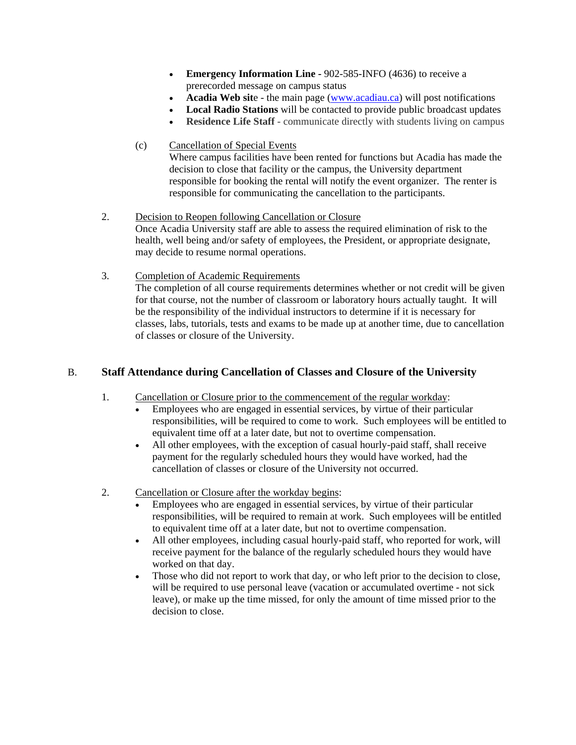- **Emergency Information Line 902-585-INFO (4636) to receive a** prerecorded message on campus status
- **Acadia Web sit**e the main page (www.acadiau.ca) will post notifications
- **Local Radio Stations** will be contacted to provide public broadcast updates
- **Residence Life Staff** communicate directly with students living on campus
- (c) Cancellation of Special Events Where campus facilities have been rented for functions but Acadia has made the decision to close that facility or the campus, the University department responsible for booking the rental will notify the event organizer. The renter is responsible for communicating the cancellation to the participants.
- 2. Decision to Reopen following Cancellation or Closure Once Acadia University staff are able to assess the required elimination of risk to the health, well being and/or safety of employees, the President, or appropriate designate, may decide to resume normal operations.
- 3. Completion of Academic Requirements The completion of all course requirements determines whether or not credit will be given for that course, not the number of classroom or laboratory hours actually taught. It will be the responsibility of the individual instructors to determine if it is necessary for classes, labs, tutorials, tests and exams to be made up at another time, due to cancellation of classes or closure of the University.

## B. **Staff Attendance during Cancellation of Classes and Closure of the University**

- 1. Cancellation or Closure prior to the commencement of the regular workday:
	- Employees who are engaged in essential services, by virtue of their particular responsibilities, will be required to come to work. Such employees will be entitled to equivalent time off at a later date, but not to overtime compensation.
	- All other employees, with the exception of casual hourly-paid staff, shall receive payment for the regularly scheduled hours they would have worked, had the cancellation of classes or closure of the University not occurred.
- 2. Cancellation or Closure after the workday begins:
	- Employees who are engaged in essential services, by virtue of their particular responsibilities, will be required to remain at work. Such employees will be entitled to equivalent time off at a later date, but not to overtime compensation.
	- All other employees, including casual hourly-paid staff, who reported for work, will receive payment for the balance of the regularly scheduled hours they would have worked on that day.
	- Those who did not report to work that day, or who left prior to the decision to close, will be required to use personal leave (vacation or accumulated overtime - not sick leave), or make up the time missed, for only the amount of time missed prior to the decision to close.